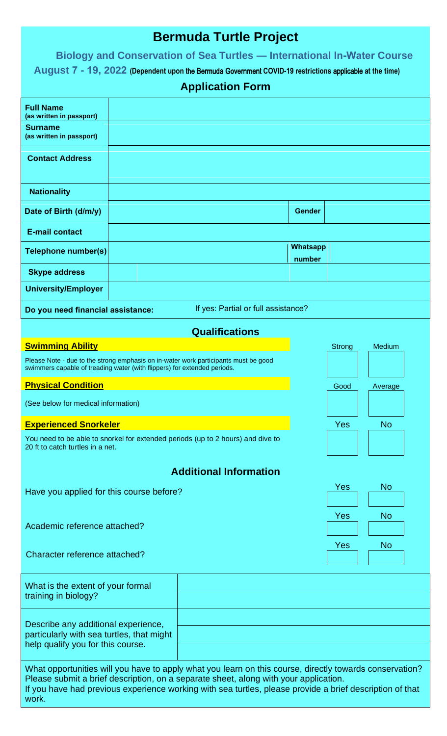## **Bermuda Turtle Project**

## **Biology and Conservation of Sea Turtles — International In-Water Course**

**August 7 - 19, 2022 (Dependent upon** the Bermuda Government **COVID-19 restrictions** applicable **at the time)**

## **Application Form**

| <b>Full Name</b><br>(as written in passport)                                                                                                                                                                                                                                                                         |  |                       |                    |            |           |  |  |
|----------------------------------------------------------------------------------------------------------------------------------------------------------------------------------------------------------------------------------------------------------------------------------------------------------------------|--|-----------------------|--------------------|------------|-----------|--|--|
| <b>Surname</b><br>(as written in passport)                                                                                                                                                                                                                                                                           |  |                       |                    |            |           |  |  |
| <b>Contact Address</b>                                                                                                                                                                                                                                                                                               |  |                       |                    |            |           |  |  |
| <b>Nationality</b>                                                                                                                                                                                                                                                                                                   |  |                       |                    |            |           |  |  |
| Date of Birth (d/m/y)                                                                                                                                                                                                                                                                                                |  |                       | <b>Gender</b>      |            |           |  |  |
| <b>E-mail contact</b>                                                                                                                                                                                                                                                                                                |  |                       |                    |            |           |  |  |
| Telephone number(s)                                                                                                                                                                                                                                                                                                  |  |                       | Whatsapp<br>number |            |           |  |  |
| <b>Skype address</b>                                                                                                                                                                                                                                                                                                 |  |                       |                    |            |           |  |  |
| <b>University/Employer</b>                                                                                                                                                                                                                                                                                           |  |                       |                    |            |           |  |  |
| If yes: Partial or full assistance?<br>Do you need financial assistance:                                                                                                                                                                                                                                             |  |                       |                    |            |           |  |  |
|                                                                                                                                                                                                                                                                                                                      |  | <b>Qualifications</b> |                    |            |           |  |  |
| <b>Swimming Ability</b>                                                                                                                                                                                                                                                                                              |  |                       |                    | Strong     | Medium    |  |  |
| Please Note - due to the strong emphasis on in-water work participants must be good<br>swimmers capable of treading water (with flippers) for extended periods.                                                                                                                                                      |  |                       |                    |            |           |  |  |
| <b>Physical Condition</b>                                                                                                                                                                                                                                                                                            |  |                       |                    | Good       | Average   |  |  |
| (See below for medical information)                                                                                                                                                                                                                                                                                  |  |                       |                    |            |           |  |  |
| <b>Experienced Snorkeler</b>                                                                                                                                                                                                                                                                                         |  |                       |                    | Yes        | <b>No</b> |  |  |
| You need to be able to snorkel for extended periods (up to 2 hours) and dive to<br>20 ft to catch turtles in a net.                                                                                                                                                                                                  |  |                       |                    |            |           |  |  |
| <b>Additional Information</b>                                                                                                                                                                                                                                                                                        |  |                       |                    |            |           |  |  |
| Have you applied for this course before?                                                                                                                                                                                                                                                                             |  |                       |                    | Yes        | <b>No</b> |  |  |
|                                                                                                                                                                                                                                                                                                                      |  |                       |                    |            |           |  |  |
| Academic reference attached?                                                                                                                                                                                                                                                                                         |  |                       |                    | <b>Yes</b> | <b>No</b> |  |  |
|                                                                                                                                                                                                                                                                                                                      |  |                       |                    | Yes        | <b>No</b> |  |  |
| Character reference attached?                                                                                                                                                                                                                                                                                        |  |                       |                    |            |           |  |  |
| What is the extent of your formal<br>training in biology?                                                                                                                                                                                                                                                            |  |                       |                    |            |           |  |  |
| Describe any additional experience,<br>particularly with sea turtles, that might<br>help qualify you for this course.                                                                                                                                                                                                |  |                       |                    |            |           |  |  |
| What opportunities will you have to apply what you learn on this course, directly towards conservation?<br>Please submit a brief description, on a separate sheet, along with your application.<br>If you have had previous experience working with sea turtles, please provide a brief description of that<br>work. |  |                       |                    |            |           |  |  |